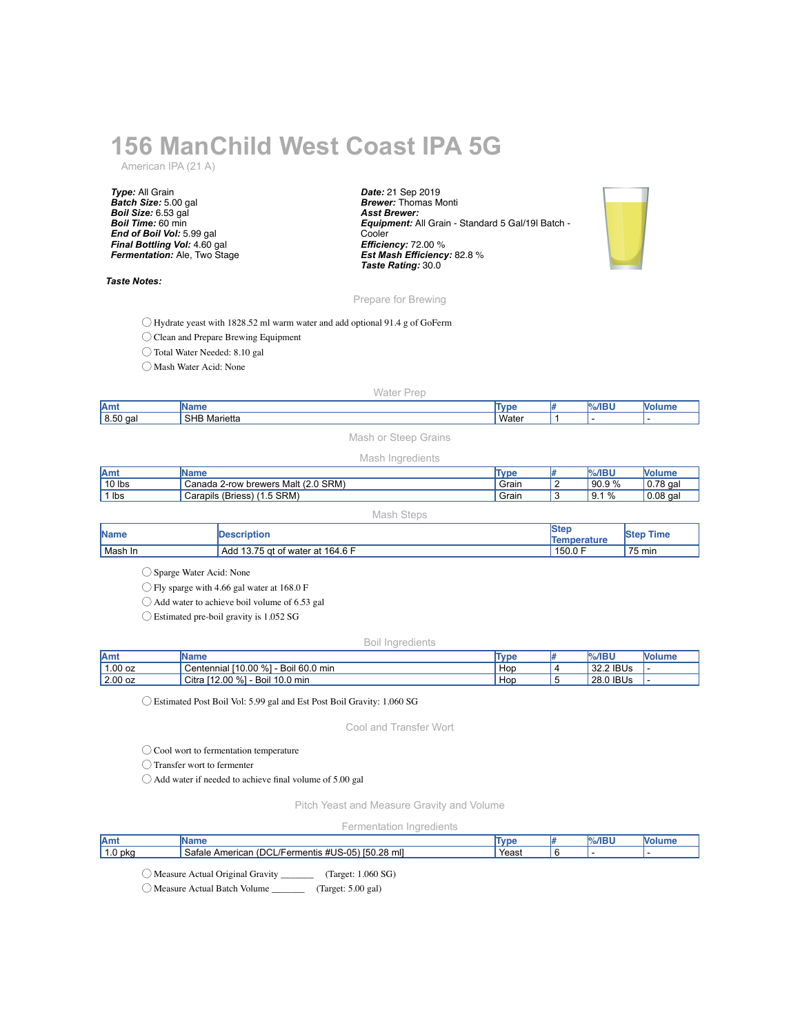# **156 ManChild West Coast IPA 5G**

American IPA (21 A)

*Type:* All Grain *Batch Size:* 5.00 gal *Boil Size:* 6.53 gal *Boil Time:* 60 min *End of Boil Vol:* 5.99 gal *Final Bottling Vol:* 4.60 gal *Fermentation:* Ale, Two Stage

*Taste Notes:*

*Date:* 21 Sep 2019 *Brewer:* Thomas Monti *Asst Brewer: Equipment:* All Grain - Standard 5 Gal/19l Batch - **Cooler** *Efficiency:* 72.00 % *Est Mash Efficiency:* 82.8 % *Taste Rating:* 30.0



## Prepare for Brewing

◯ Hydrate yeast with 1828.52 ml warm water and add optional 91.4 g of GoFerm

◯ Clean and Prepare Brewing Equipment

◯ Total Water Needed: 8.10 gal

◯ Mash Water Acid: None

### Water Prep

| Amt<br>ш                                             | <b>Turn</b><br>. |  |  |
|------------------------------------------------------|------------------|--|--|
| 8.50<br><b>SHB</b><br>) gal<br><sup>·</sup> Marietta | Wate             |  |  |

# Mash or Steep Grains

### Mash Ingredients

| lAmt     | Name                                  | <b>Type</b> | $%$ /IBU                             | — Volum⊾         |
|----------|---------------------------------------|-------------|--------------------------------------|------------------|
| $10$ lbs | Canada 2-row brewers Malt (2.0 SRM)   | Grain       | 90.9%                                | $\vert$ 0.78 gal |
| lbs      | $(1.5$ SRM)<br>(Briess)<br>Carapils ( | Grain       | $\%$<br>$\Omega$<br>$\mathsf{v}$ . I | $0.08$ gal       |

Mash Steps

| <b>Name</b> | <b>Description</b>                   | Ister<br>Temperature | <b>Time</b><br><b>Step</b> |
|-------------|--------------------------------------|----------------------|----------------------------|
| Mash In     | 113.75 gt of water at 164.6 F<br>Add | 150.0 F              | 75 min                     |

◯ Sparge Water Acid: None

◯ Fly sparge with 4.66 gal water at 168.0 F

◯ Add water to achieve boil volume of 6.53 gal

◯ Estimated pre-boil gravity is 1.052 SG

### Boil Ingredients

| lAm       | IName                                           | Type | $%$ /IBU  | <b>Nolume</b> |
|-----------|-------------------------------------------------|------|-----------|---------------|
| $1.00$ oz | Boil 60.0 min<br>110.00 %<br>Centennial '       | Hop  | 32.2 IBUs |               |
| $2.00$ oz | <b>េ</b> [12.00 %]<br>10.0 min<br>Citra<br>Boil | Hop  | 28.0 IBUs |               |

◯ Estimated Post Boil Vol: 5.99 gal and Est Post Boil Gravity: 1.060 SG

Cool and Transfer Wort

◯ Cool wort to fermentation temperature

◯ Transfer wort to fermenter

◯ Add water if needed to achieve final volume of 5.00 gal

Pitch Yeast and Measure Gravity and Volume

Fermentation Ingredients

| Amt   | ше                                                                                             | $\mathbf{m}$<br>we | $%$ /IBI |  |
|-------|------------------------------------------------------------------------------------------------|--------------------|----------|--|
| 0 pka | ററ<br>$\cap$<br><br>Safale<br>ericar <sub>1</sub><br>entis<br>28 ML<br>$\sqrt{2}$<br>∼.<br>. . | Yeast              |          |  |
|       |                                                                                                |                    |          |  |

◯ Measure Actual Original Gravity \_\_\_\_\_\_\_ (Target: 1.060 SG)

◯ Measure Actual Batch Volume \_\_\_\_\_\_\_ (Target: 5.00 gal)